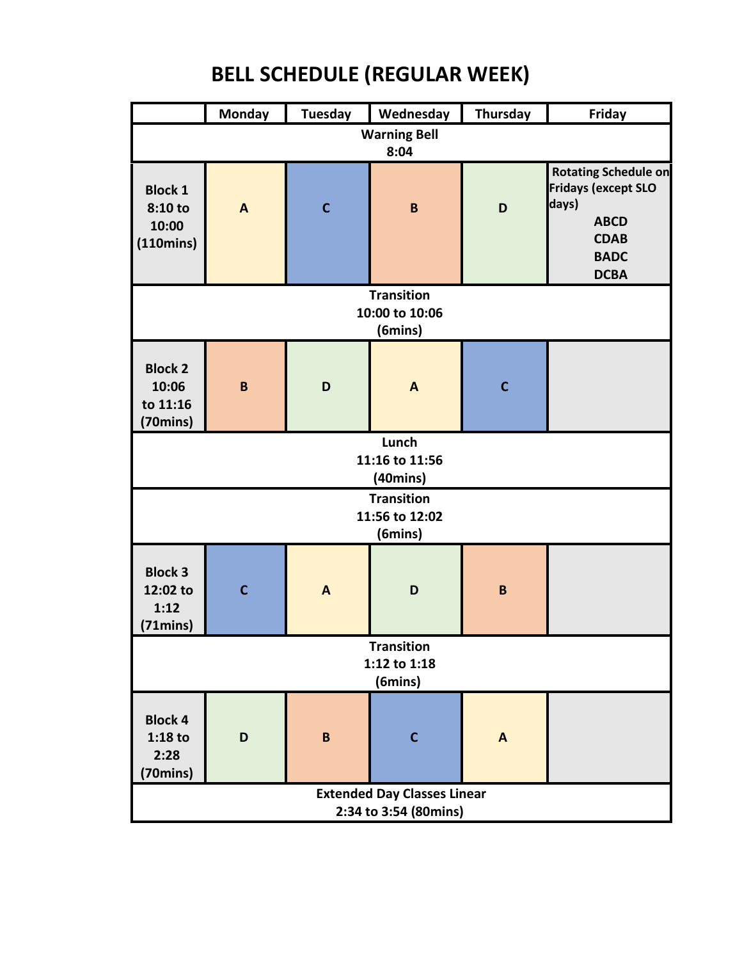## **BELL SCHEDULE (REGULAR WEEK)**

|                                                             | <b>Monday</b> | <b>Tuesday</b> | Wednesday      | <b>Thursday</b> | Friday                                                                                                                         |  |  |
|-------------------------------------------------------------|---------------|----------------|----------------|-----------------|--------------------------------------------------------------------------------------------------------------------------------|--|--|
| <b>Warning Bell</b><br>8:04                                 |               |                |                |                 |                                                                                                                                |  |  |
| <b>Block 1</b><br>8:10 to<br>10:00<br>(110 mins)            | $\mathbf{A}$  | $\mathbf C$    | $\pmb B$       | D               | <b>Rotating Schedule on</b><br><b>Fridays (except SLO</b><br>days)<br><b>ABCD</b><br><b>CDAB</b><br><b>BADC</b><br><b>DCBA</b> |  |  |
| <b>Transition</b><br>10:00 to 10:06<br>(6mins)              |               |                |                |                 |                                                                                                                                |  |  |
| <b>Block 2</b><br>10:06<br>to 11:16<br>(70mins)             | $\mathbf B$   | D              | $\overline{A}$ | $\mathbf C$     |                                                                                                                                |  |  |
| Lunch<br>11:16 to 11:56<br>(40 <sub>mins</sub> )            |               |                |                |                 |                                                                                                                                |  |  |
| <b>Transition</b><br>11:56 to 12:02<br>(6mins)              |               |                |                |                 |                                                                                                                                |  |  |
| <b>Block 3</b><br>12:02 to<br>1:12<br>$(71 \text{mins})$    | $\mathsf{C}$  | $\mathbf{A}$   | D              | $\mathbf B$     |                                                                                                                                |  |  |
| <b>Transition</b><br>1:12 to 1:18<br>(6mins)                |               |                |                |                 |                                                                                                                                |  |  |
| <b>Block 4</b><br>$1:18$ to<br>2:28<br>(70mins)             | D             | $\, {\bf B}$   | $\mathbf C$    | $\mathbf{A}$    |                                                                                                                                |  |  |
| <b>Extended Day Classes Linear</b><br>2:34 to 3:54 (80mins) |               |                |                |                 |                                                                                                                                |  |  |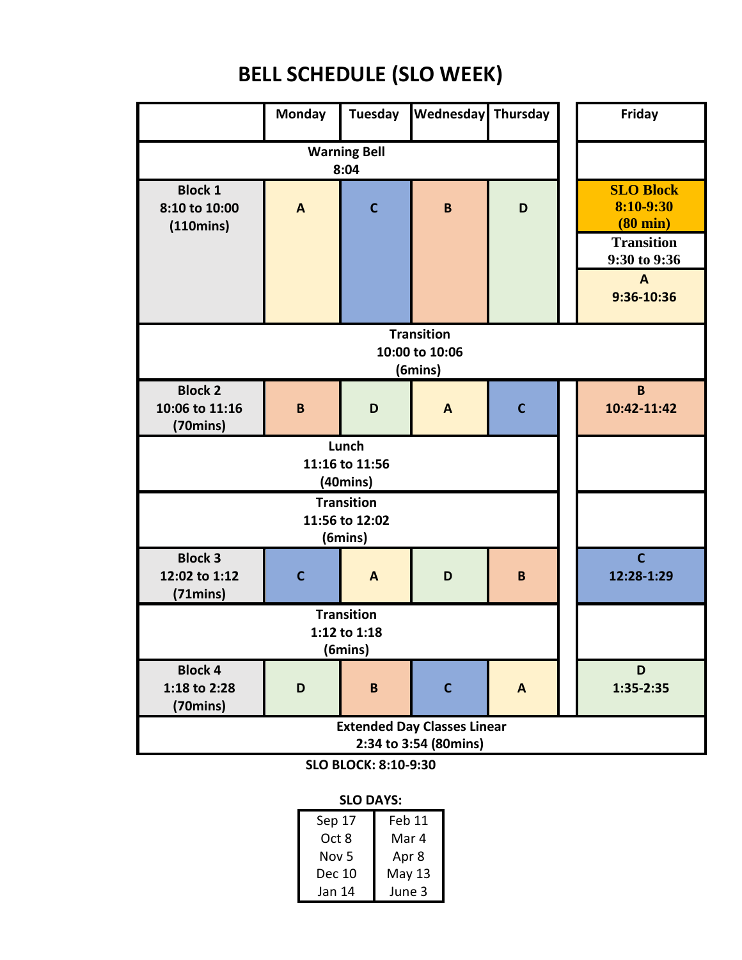## **BELL SCHEDULE (SLO WEEK)**

|                                                             | <b>Monday</b> | <b>Tuesday</b>      | Wednesday   | Thursday     |  | Friday                                                                                                                   |  |
|-------------------------------------------------------------|---------------|---------------------|-------------|--------------|--|--------------------------------------------------------------------------------------------------------------------------|--|
|                                                             |               |                     |             |              |  |                                                                                                                          |  |
| <b>Block 1</b><br>8:10 to 10:00<br>$(110 \text{mins})$      | A             | 8:04<br>$\mathbf c$ | B           | D            |  | <b>SLO Block</b><br>8:10-9:30<br>$(80 \text{ min})$<br><b>Transition</b><br>9:30 to 9:36<br>$\overline{A}$<br>9:36-10:36 |  |
| <b>Transition</b><br>10:00 to 10:06<br>(6mins)              |               |                     |             |              |  |                                                                                                                          |  |
| <b>Block 2</b><br>10:06 to 11:16<br>$(70 \text{mins})$      | B             | D                   | A           | $\mathbf C$  |  | B<br>10:42-11:42                                                                                                         |  |
|                                                             |               |                     |             |              |  |                                                                                                                          |  |
|                                                             |               |                     |             |              |  |                                                                                                                          |  |
| <b>Block 3</b><br>12:02 to 1:12<br>(71)                     | $\mathbf{C}$  | A                   | D           | B            |  | $\mathbf{C}$<br>12:28-1:29                                                                                               |  |
|                                                             |               |                     |             |              |  |                                                                                                                          |  |
| <b>Block 4</b><br>1:18 to 2:28<br>$(70 \text{mins})$        | D             | B                   | $\mathbf C$ | $\mathbf{A}$ |  | D<br>$1:35-2:35$                                                                                                         |  |
| <b>Extended Day Classes Linear</b><br>2:34 to 3:54 (80mins) |               |                     |             |              |  |                                                                                                                          |  |

**SLO BLOCK: 8:10-9:30**

**SLO DAYS:**

| Sep 17 | Feb 11 |
|--------|--------|
| Oct 8  | Mar 4  |
| Nov 5  | Apr 8  |
| Dec 10 | May 13 |
| Jan 14 | June 3 |